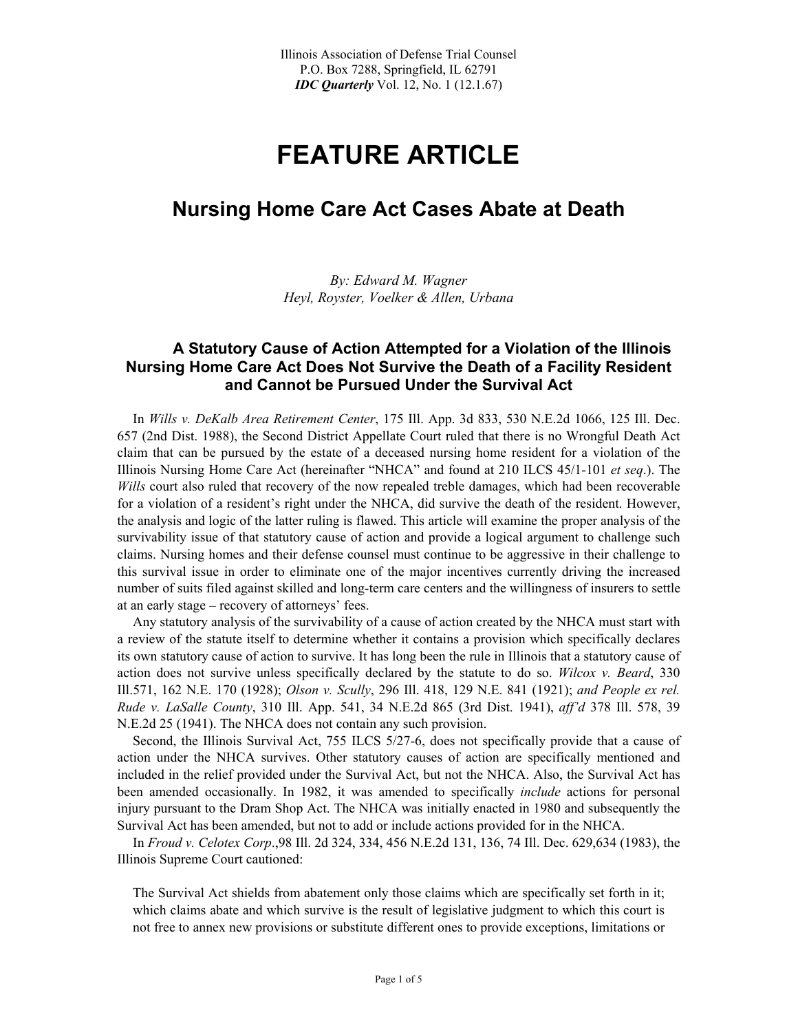## **FEATURE ARTICLE**

## **Nursing Home Care Act Cases Abate at Death**

*By: Edward M. Wagner Heyl, Royster, Voelker & Allen, Urbana* 

## **A Statutory Cause of Action Attempted for a Violation of the Illinois Nursing Home Care Act Does Not Survive the Death of a Facility Resident and Cannot be Pursued Under the Survival Act**

 In *Wills v. DeKalb Area Retirement Center*, 175 Ill. App. 3d 833, 530 N.E.2d 1066, 125 Ill. Dec. 657 (2nd Dist. 1988), the Second District Appellate Court ruled that there is no Wrongful Death Act claim that can be pursued by the estate of a deceased nursing home resident for a violation of the Illinois Nursing Home Care Act (hereinafter "NHCA" and found at 210 ILCS 45/1-101 *et seq*.). The *Wills* court also ruled that recovery of the now repealed treble damages, which had been recoverable for a violation of a resident's right under the NHCA, did survive the death of the resident. However, the analysis and logic of the latter ruling is flawed. This article will examine the proper analysis of the survivability issue of that statutory cause of action and provide a logical argument to challenge such claims. Nursing homes and their defense counsel must continue to be aggressive in their challenge to this survival issue in order to eliminate one of the major incentives currently driving the increased number of suits filed against skilled and long-term care centers and the willingness of insurers to settle at an early stage – recovery of attorneys' fees.

 Any statutory analysis of the survivability of a cause of action created by the NHCA must start with a review of the statute itself to determine whether it contains a provision which specifically declares its own statutory cause of action to survive. It has long been the rule in Illinois that a statutory cause of action does not survive unless specifically declared by the statute to do so. *Wilcox v. Beard*, 330 Ill.571, 162 N.E. 170 (1928); *Olson v. Scully*, 296 Ill. 418, 129 N.E. 841 (1921); *and People ex rel. Rude v. LaSalle County*, 310 Ill. App. 541, 34 N.E.2d 865 (3rd Dist. 1941), *aff'd* 378 Ill. 578, 39 N.E.2d 25 (1941). The NHCA does not contain any such provision.

 Second, the Illinois Survival Act, 755 ILCS 5/27-6, does not specifically provide that a cause of action under the NHCA survives. Other statutory causes of action are specifically mentioned and included in the relief provided under the Survival Act, but not the NHCA. Also, the Survival Act has been amended occasionally. In 1982, it was amended to specifically *include* actions for personal injury pursuant to the Dram Shop Act. The NHCA was initially enacted in 1980 and subsequently the Survival Act has been amended, but not to add or include actions provided for in the NHCA.

 In *Froud v. Celotex Corp*.,98 Ill. 2d 324, 334, 456 N.E.2d 131, 136, 74 Ill. Dec. 629,634 (1983), the Illinois Supreme Court cautioned:

The Survival Act shields from abatement only those claims which are specifically set forth in it; which claims abate and which survive is the result of legislative judgment to which this court is not free to annex new provisions or substitute different ones to provide exceptions, limitations or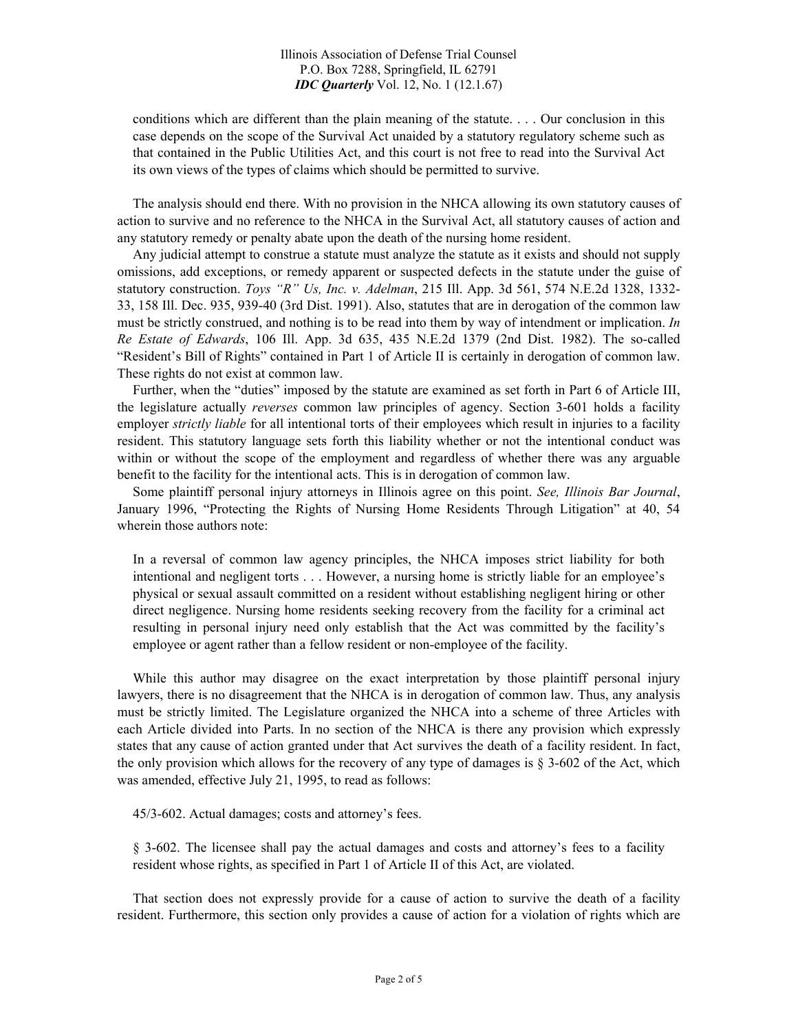Illinois Association of Defense Trial Counsel P.O. Box 7288, Springfield, IL 62791 *IDC Quarterly* Vol. 12, No. 1 (12.1.67)

conditions which are different than the plain meaning of the statute. . . . Our conclusion in this case depends on the scope of the Survival Act unaided by a statutory regulatory scheme such as that contained in the Public Utilities Act, and this court is not free to read into the Survival Act its own views of the types of claims which should be permitted to survive.

 The analysis should end there. With no provision in the NHCA allowing its own statutory causes of action to survive and no reference to the NHCA in the Survival Act, all statutory causes of action and any statutory remedy or penalty abate upon the death of the nursing home resident.

 Any judicial attempt to construe a statute must analyze the statute as it exists and should not supply omissions, add exceptions, or remedy apparent or suspected defects in the statute under the guise of statutory construction. *Toys "R" Us, Inc. v. Adelman*, 215 Ill. App. 3d 561, 574 N.E.2d 1328, 1332- 33, 158 Ill. Dec. 935, 939-40 (3rd Dist. 1991). Also, statutes that are in derogation of the common law must be strictly construed, and nothing is to be read into them by way of intendment or implication. *In Re Estate of Edwards*, 106 Ill. App. 3d 635, 435 N.E.2d 1379 (2nd Dist. 1982). The so-called "Resident's Bill of Rights" contained in Part 1 of Article II is certainly in derogation of common law. These rights do not exist at common law.

 Further, when the "duties" imposed by the statute are examined as set forth in Part 6 of Article III, the legislature actually *reverses* common law principles of agency. Section 3-601 holds a facility employer *strictly liable* for all intentional torts of their employees which result in injuries to a facility resident. This statutory language sets forth this liability whether or not the intentional conduct was within or without the scope of the employment and regardless of whether there was any arguable benefit to the facility for the intentional acts. This is in derogation of common law.

 Some plaintiff personal injury attorneys in Illinois agree on this point. *See, Illinois Bar Journal*, January 1996, "Protecting the Rights of Nursing Home Residents Through Litigation" at 40, 54 wherein those authors note:

In a reversal of common law agency principles, the NHCA imposes strict liability for both intentional and negligent torts . . . However, a nursing home is strictly liable for an employee's physical or sexual assault committed on a resident without establishing negligent hiring or other direct negligence. Nursing home residents seeking recovery from the facility for a criminal act resulting in personal injury need only establish that the Act was committed by the facility's employee or agent rather than a fellow resident or non-employee of the facility.

 While this author may disagree on the exact interpretation by those plaintiff personal injury lawyers, there is no disagreement that the NHCA is in derogation of common law. Thus, any analysis must be strictly limited. The Legislature organized the NHCA into a scheme of three Articles with each Article divided into Parts. In no section of the NHCA is there any provision which expressly states that any cause of action granted under that Act survives the death of a facility resident. In fact, the only provision which allows for the recovery of any type of damages is  $\S$  3-602 of the Act, which was amended, effective July 21, 1995, to read as follows:

45/3-602. Actual damages; costs and attorney's fees.

§ 3-602. The licensee shall pay the actual damages and costs and attorney's fees to a facility resident whose rights, as specified in Part 1 of Article II of this Act, are violated.

 That section does not expressly provide for a cause of action to survive the death of a facility resident. Furthermore, this section only provides a cause of action for a violation of rights which are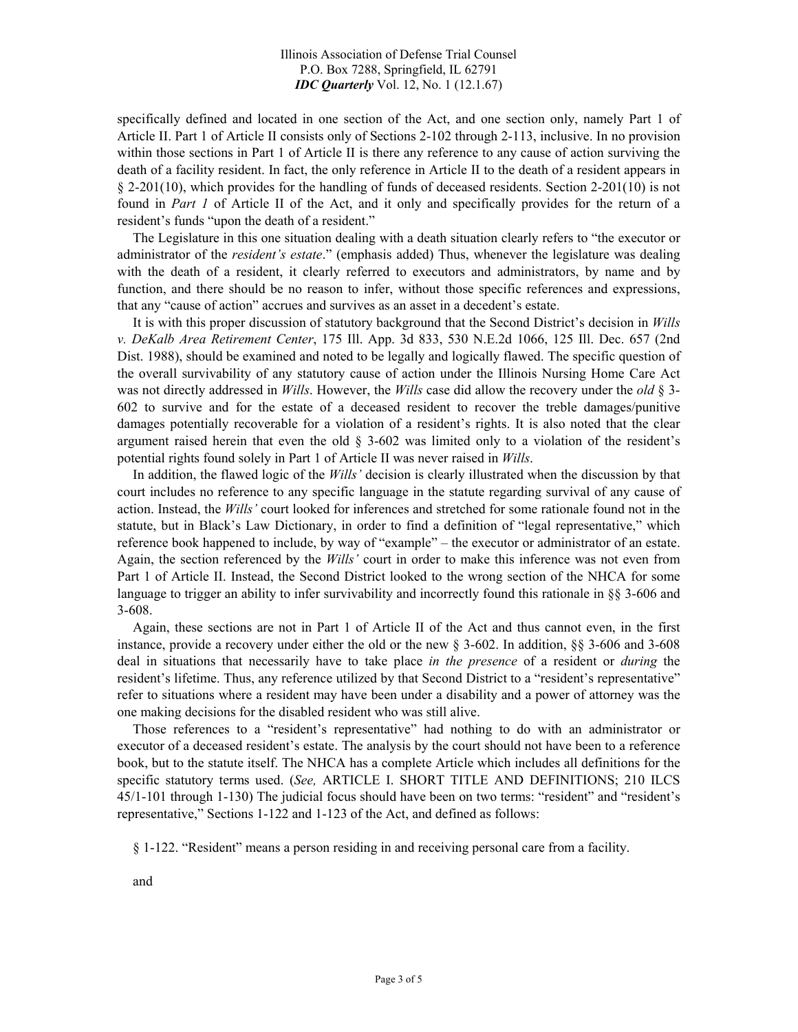Illinois Association of Defense Trial Counsel P.O. Box 7288, Springfield, IL 62791 *IDC Quarterly* Vol. 12, No. 1 (12.1.67)

specifically defined and located in one section of the Act, and one section only, namely Part 1 of Article II. Part 1 of Article II consists only of Sections 2-102 through 2-113, inclusive. In no provision within those sections in Part 1 of Article II is there any reference to any cause of action surviving the death of a facility resident. In fact, the only reference in Article II to the death of a resident appears in § 2-201(10), which provides for the handling of funds of deceased residents. Section 2-201(10) is not found in *Part 1* of Article II of the Act, and it only and specifically provides for the return of a resident's funds "upon the death of a resident."

 The Legislature in this one situation dealing with a death situation clearly refers to "the executor or administrator of the *resident's estate*." (emphasis added) Thus, whenever the legislature was dealing with the death of a resident, it clearly referred to executors and administrators, by name and by function, and there should be no reason to infer, without those specific references and expressions, that any "cause of action" accrues and survives as an asset in a decedent's estate.

 It is with this proper discussion of statutory background that the Second District's decision in *Wills v. DeKalb Area Retirement Center*, 175 Ill. App. 3d 833, 530 N.E.2d 1066, 125 Ill. Dec. 657 (2nd Dist. 1988), should be examined and noted to be legally and logically flawed. The specific question of the overall survivability of any statutory cause of action under the Illinois Nursing Home Care Act was not directly addressed in *Wills*. However, the *Wills* case did allow the recovery under the *old* § 3- 602 to survive and for the estate of a deceased resident to recover the treble damages/punitive damages potentially recoverable for a violation of a resident's rights. It is also noted that the clear argument raised herein that even the old § 3-602 was limited only to a violation of the resident's potential rights found solely in Part 1 of Article II was never raised in *Wills*.

 In addition, the flawed logic of the *Wills'* decision is clearly illustrated when the discussion by that court includes no reference to any specific language in the statute regarding survival of any cause of action. Instead, the *Wills'* court looked for inferences and stretched for some rationale found not in the statute, but in Black's Law Dictionary, in order to find a definition of "legal representative," which reference book happened to include, by way of "example" – the executor or administrator of an estate. Again, the section referenced by the *Wills'* court in order to make this inference was not even from Part 1 of Article II. Instead, the Second District looked to the wrong section of the NHCA for some language to trigger an ability to infer survivability and incorrectly found this rationale in §§ 3-606 and 3-608.

 Again, these sections are not in Part 1 of Article II of the Act and thus cannot even, in the first instance, provide a recovery under either the old or the new § 3-602. In addition, §§ 3-606 and 3-608 deal in situations that necessarily have to take place *in the presence* of a resident or *during* the resident's lifetime. Thus, any reference utilized by that Second District to a "resident's representative" refer to situations where a resident may have been under a disability and a power of attorney was the one making decisions for the disabled resident who was still alive.

 Those references to a "resident's representative" had nothing to do with an administrator or executor of a deceased resident's estate. The analysis by the court should not have been to a reference book, but to the statute itself. The NHCA has a complete Article which includes all definitions for the specific statutory terms used. (*See,* ARTICLE I. SHORT TITLE AND DEFINITIONS; 210 ILCS 45/1-101 through 1-130) The judicial focus should have been on two terms: "resident" and "resident's representative," Sections 1-122 and 1-123 of the Act, and defined as follows:

§ 1-122. "Resident" means a person residing in and receiving personal care from a facility.

and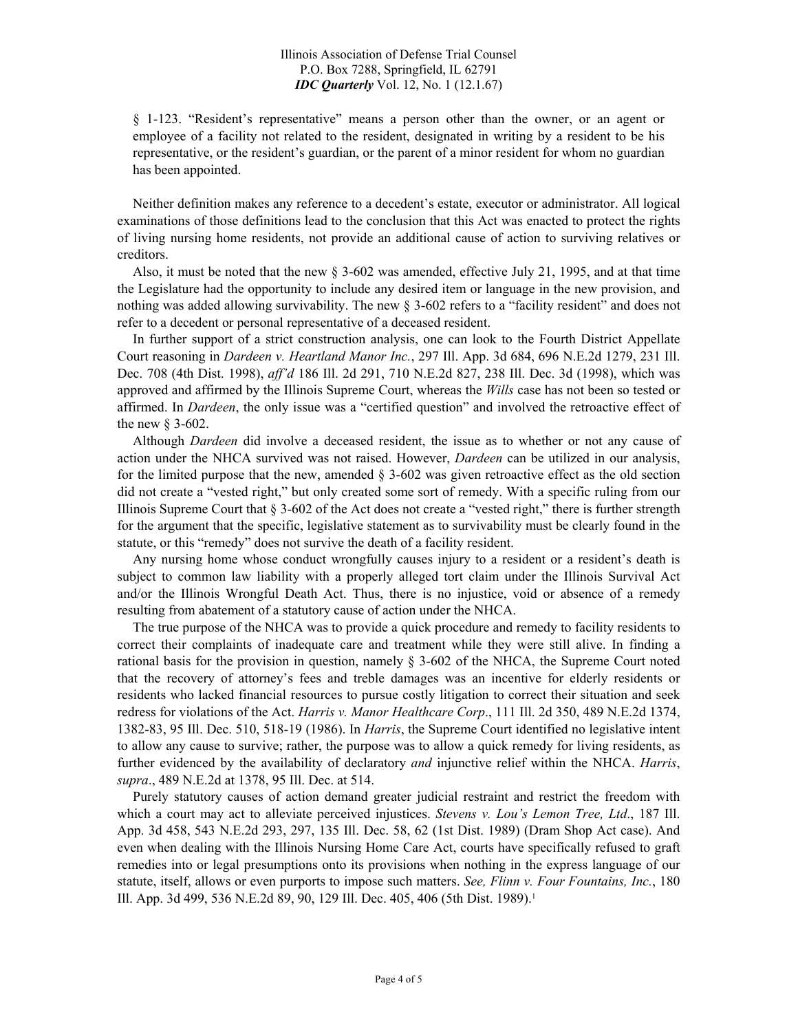§ 1-123. "Resident's representative" means a person other than the owner, or an agent or employee of a facility not related to the resident, designated in writing by a resident to be his representative, or the resident's guardian, or the parent of a minor resident for whom no guardian has been appointed.

 Neither definition makes any reference to a decedent's estate, executor or administrator. All logical examinations of those definitions lead to the conclusion that this Act was enacted to protect the rights of living nursing home residents, not provide an additional cause of action to surviving relatives or creditors.

 Also, it must be noted that the new § 3-602 was amended, effective July 21, 1995, and at that time the Legislature had the opportunity to include any desired item or language in the new provision, and nothing was added allowing survivability. The new § 3-602 refers to a "facility resident" and does not refer to a decedent or personal representative of a deceased resident.

 In further support of a strict construction analysis, one can look to the Fourth District Appellate Court reasoning in *Dardeen v. Heartland Manor Inc.*, 297 Ill. App. 3d 684, 696 N.E.2d 1279, 231 Ill. Dec. 708 (4th Dist. 1998), *aff'd* 186 Ill. 2d 291, 710 N.E.2d 827, 238 Ill. Dec. 3d (1998), which was approved and affirmed by the Illinois Supreme Court, whereas the *Wills* case has not been so tested or affirmed. In *Dardeen*, the only issue was a "certified question" and involved the retroactive effect of the new § 3-602.

 Although *Dardeen* did involve a deceased resident, the issue as to whether or not any cause of action under the NHCA survived was not raised. However, *Dardeen* can be utilized in our analysis, for the limited purpose that the new, amended  $\S$  3-602 was given retroactive effect as the old section did not create a "vested right," but only created some sort of remedy. With a specific ruling from our Illinois Supreme Court that § 3-602 of the Act does not create a "vested right," there is further strength for the argument that the specific, legislative statement as to survivability must be clearly found in the statute, or this "remedy" does not survive the death of a facility resident.

Any nursing home whose conduct wrongfully causes injury to a resident or a resident's death is subject to common law liability with a properly alleged tort claim under the Illinois Survival Act and/or the Illinois Wrongful Death Act. Thus, there is no injustice, void or absence of a remedy resulting from abatement of a statutory cause of action under the NHCA.

 The true purpose of the NHCA was to provide a quick procedure and remedy to facility residents to correct their complaints of inadequate care and treatment while they were still alive. In finding a rational basis for the provision in question, namely § 3-602 of the NHCA, the Supreme Court noted that the recovery of attorney's fees and treble damages was an incentive for elderly residents or residents who lacked financial resources to pursue costly litigation to correct their situation and seek redress for violations of the Act. *Harris v. Manor Healthcare Corp*., 111 Ill. 2d 350, 489 N.E.2d 1374, 1382-83, 95 Ill. Dec. 510, 518-19 (1986). In *Harris*, the Supreme Court identified no legislative intent to allow any cause to survive; rather, the purpose was to allow a quick remedy for living residents, as further evidenced by the availability of declaratory *and* injunctive relief within the NHCA. *Harris*, *supra*., 489 N.E.2d at 1378, 95 Ill. Dec. at 514.

 Purely statutory causes of action demand greater judicial restraint and restrict the freedom with which a court may act to alleviate perceived injustices. *Stevens v. Lou's Lemon Tree, Ltd*., 187 Ill. App. 3d 458, 543 N.E.2d 293, 297, 135 Ill. Dec. 58, 62 (1st Dist. 1989) (Dram Shop Act case). And even when dealing with the Illinois Nursing Home Care Act, courts have specifically refused to graft remedies into or legal presumptions onto its provisions when nothing in the express language of our statute, itself, allows or even purports to impose such matters. *See, Flinn v. Four Fountains, Inc.*, 180 Ill. App. 3d 499, 536 N.E.2d 89, 90, 129 Ill. Dec. 405, 406 (5th Dist. 1989).<sup>1</sup>